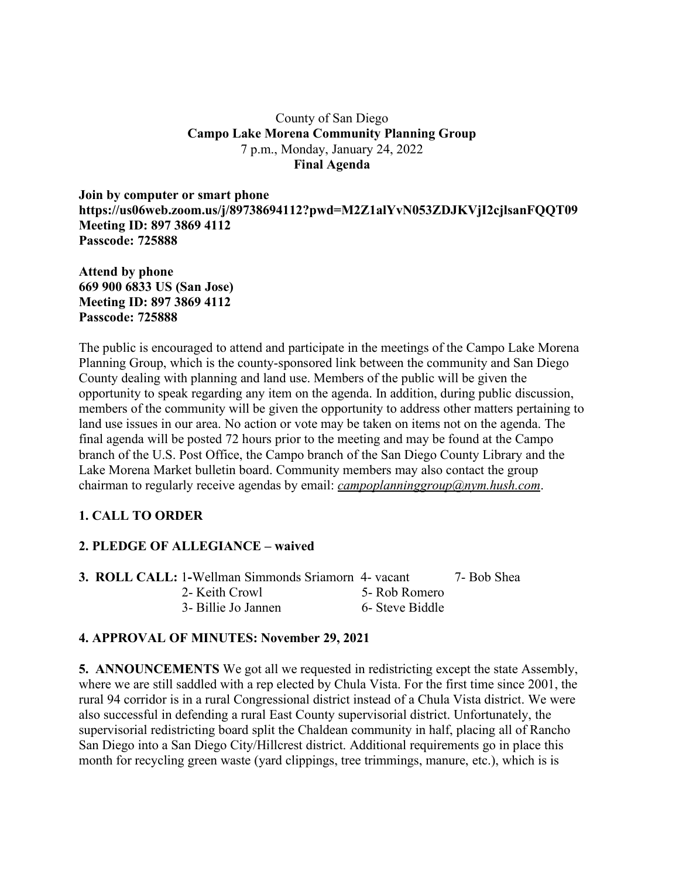### County of San Diego **Campo Lake Morena Community Planning Group** 7 p.m., Monday, January 24, 2022 **Final Agenda**

**Join by computer or smart phone https://us06web.zoom.us/j/89738694112?pwd=M2Z1alYvN053ZDJKVjI2cjlsanFQQT09 Meeting ID: 897 3869 4112 Passcode: 725888**

**Attend by phone 669 900 6833 US (San Jose) Meeting ID: 897 3869 4112 Passcode: 725888**

The public is encouraged to attend and participate in the meetings of the Campo Lake Morena Planning Group, which is the county-sponsored link between the community and San Diego County dealing with planning and land use. Members of the public will be given the opportunity to speak regarding any item on the agenda. In addition, during public discussion, members of the community will be given the opportunity to address other matters pertaining to land use issues in our area. No action or vote may be taken on items not on the agenda. The final agenda will be posted 72 hours prior to the meeting and may be found at the Campo branch of the U.S. Post Office, the Campo branch of the San Diego County Library and the Lake Morena Market bulletin board. Community members may also contact the group chairman to regularly receive agendas by email: *campoplanninggroup@nym.hush.com*.

# **1. CALL TO ORDER**

# **2. PLEDGE OF ALLEGIANCE – waived**

**3. ROLL CALL:** 1**-**Wellman Simmonds Sriamorn 4- vacant 7- Bob Shea 2- Keith Crowl 5- Rob Romero 3- Billie Jo Jannen 6- Steve Biddle

#### **4. APPROVAL OF MINUTES: November 29, 2021**

**5. ANNOUNCEMENTS** We got all we requested in redistricting except the state Assembly, where we are still saddled with a rep elected by Chula Vista. For the first time since 2001, the rural 94 corridor is in a rural Congressional district instead of a Chula Vista district. We were also successful in defending a rural East County supervisorial district. Unfortunately, the supervisorial redistricting board split the Chaldean community in half, placing all of Rancho San Diego into a San Diego City/Hillcrest district. Additional requirements go in place this month for recycling green waste (yard clippings, tree trimmings, manure, etc.), which is is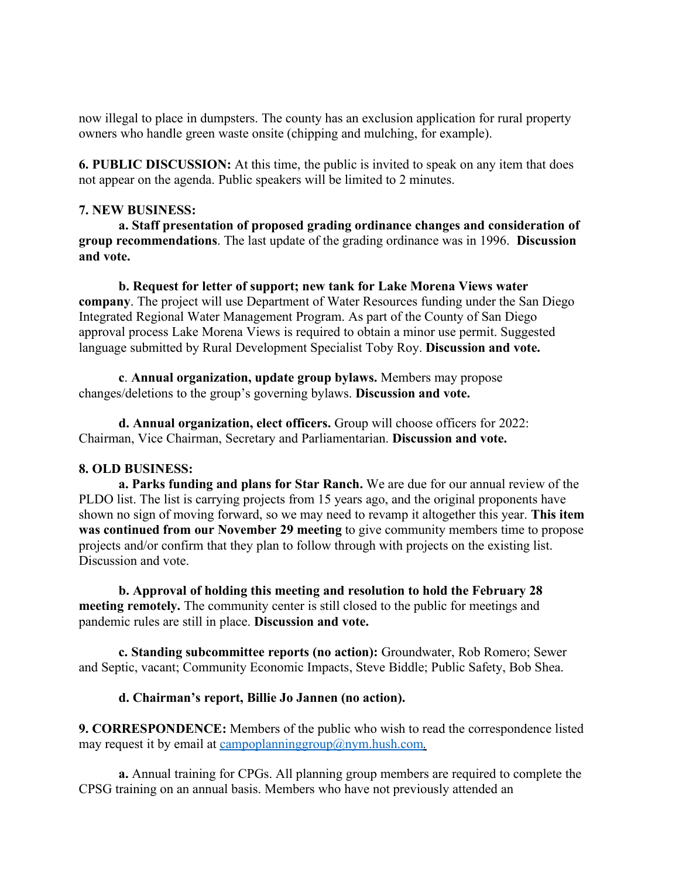now illegal to place in dumpsters. The county has an exclusion application for rural property owners who handle green waste onsite (chipping and mulching, for example).

**6. PUBLIC DISCUSSION:** At this time, the public is invited to speak on any item that does not appear on the agenda. Public speakers will be limited to 2 minutes.

#### **7. NEW BUSINESS:**

**a. Staff presentation of proposed grading ordinance changes and consideration of group recommendations**. The last update of the grading ordinance was in 1996. **Discussion and vote.**

**b. Request for letter of support; new tank for Lake Morena Views water company**. The project will use Department of Water Resources funding under the San Diego Integrated Regional Water Management Program. As part of the County of San Diego approval process Lake Morena Views is required to obtain a minor use permit. Suggested language submitted by Rural Development Specialist Toby Roy. **Discussion and vote.**

**c**. **Annual organization, update group bylaws.** Members may propose changes/deletions to the group's governing bylaws. **Discussion and vote.**

**d. Annual organization, elect officers.** Group will choose officers for 2022: Chairman, Vice Chairman, Secretary and Parliamentarian. **Discussion and vote.**

#### **8. OLD BUSINESS:**

**a. Parks funding and plans for Star Ranch.** We are due for our annual review of the PLDO list. The list is carrying projects from 15 years ago, and the original proponents have shown no sign of moving forward, so we may need to revamp it altogether this year. **This item was continued from our November 29 meeting** to give community members time to propose projects and/or confirm that they plan to follow through with projects on the existing list. Discussion and vote.

**b. Approval of holding this meeting and resolution to hold the February 28 meeting remotely.** The community center is still closed to the public for meetings and pandemic rules are still in place. **Discussion and vote.**

**c. Standing subcommittee reports (no action):** Groundwater, Rob Romero; Sewer and Septic, vacant; Community Economic Impacts, Steve Biddle; Public Safety, Bob Shea.

#### **d. Chairman's report, Billie Jo Jannen (no action).**

**9. CORRESPONDENCE:** Members of the public who wish to read the correspondence listed may request it by email at campoplanninggroup@nym.hush.com*.*

**a.** Annual training for CPGs. All planning group members are required to complete the CPSG training on an annual basis. Members who have not previously attended an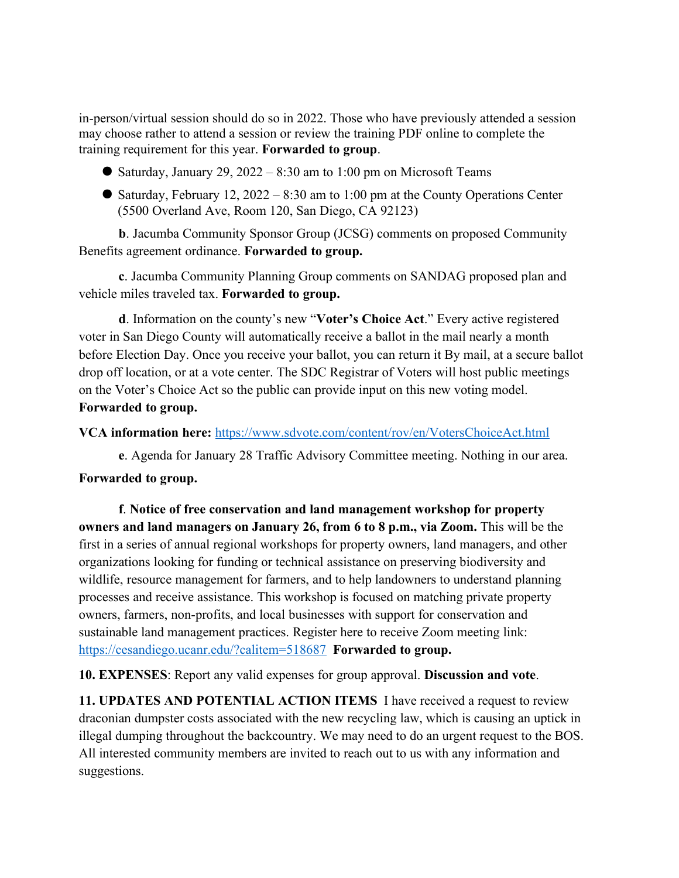in-person/virtual session should do so in 2022. Those who have previously attended a session may choose rather to attend a session or review the training PDF online to complete the training requirement for this year. **Forwarded to group**.

- $\bullet$  Saturday, January 29, 2022 8:30 am to 1:00 pm on Microsoft Teams
- $\bullet$  Saturday, February 12, 2022 8:30 am to 1:00 pm at the County Operations Center (5500 Overland Ave, Room 120, San Diego, CA 92123)

**b**. Jacumba Community Sponsor Group (JCSG) comments on proposed Community Benefits agreement ordinance. **Forwarded to group.**

**c**. Jacumba Community Planning Group comments on SANDAG proposed plan and vehicle miles traveled tax. **Forwarded to group.**

**d**. Information on the county's new "**Voter's Choice Act**." Every active registered voter in San Diego County will automatically receive a ballot in the mail nearly a month before Election Day. Once you receive your ballot, you can return it By mail, at a secure ballot drop off location, or at a vote center. The SDC Registrar of Voters will host public meetings on the Voter's Choice Act so the public can provide input on this new voting model. **Forwarded to group.**

### **VCA information here:** https://www.sdvote.com/content/rov/en/VotersChoiceAct.html

**e**. Agenda for January 28 Traffic Advisory Committee meeting. Nothing in our area.

# **Forwarded to group.**

**f**. **Notice of free conservation and land management workshop for property owners and land managers on January 26, from 6 to 8 p.m., via Zoom.** This will be the first in a series of annual regional workshops for property owners, land managers, and other organizations looking for funding or technical assistance on preserving biodiversity and wildlife, resource management for farmers, and to help landowners to understand planning processes and receive assistance. This workshop is focused on matching private property owners, farmers, non-profits, and local businesses with support for conservation and sustainable land management practices. Register here to receive Zoom meeting link: https://cesandiego.ucanr.edu/?calitem=518687 **Forwarded to group.**

**10. EXPENSES**: Report any valid expenses for group approval. **Discussion and vote**.

**11. UPDATES AND POTENTIAL ACTION ITEMS** I have received a request to review draconian dumpster costs associated with the new recycling law, which is causing an uptick in illegal dumping throughout the backcountry. We may need to do an urgent request to the BOS. All interested community members are invited to reach out to us with any information and suggestions.